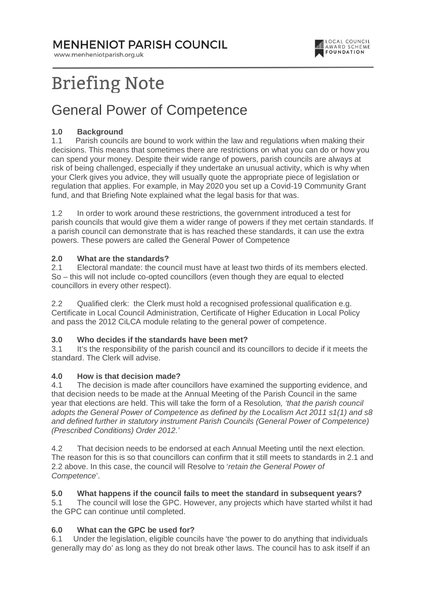**MENHENIOT PARISH COUNCIL** 

www.menheniotparish.org.uk



# **Briefing Note**

## General Power of Competence

#### **1.0 Background**

1.1 Parish councils are bound to work within the law and regulations when making their decisions. This means that sometimes there are restrictions on what you can do or how you can spend your money. Despite their wide range of powers, parish councils are always at risk of being challenged, especially if they undertake an unusual activity, which is why when your Clerk gives you advice, they will usually quote the appropriate piece of legislation or regulation that applies. For example, in May 2020 you set up a Covid-19 Community Grant fund, and that Briefing Note explained what the legal basis for that was.

1.2 In order to work around these restrictions, the government introduced a test for parish councils that would give them a wider range of powers if they met certain standards. If a parish council can demonstrate that is has reached these standards, it can use the extra powers. These powers are called the General Power of Competence

#### **2.0 What are the standards?**

2.1 Electoral mandate: the council must have at least two thirds of its members elected. So – this will not include co-opted councillors (even though they are equal to elected councillors in every other respect).

2.2 Qualified clerk: the Clerk must hold a recognised professional qualification e.g. Certificate in Local Council Administration, Certificate of Higher Education in Local Policy and pass the 2012 CiLCA module relating to the general power of competence.

# **3.0 Who decides if the standards have been met?**<br>**3.1** It's the responsibility of the parish council and its of

It's the responsibility of the parish council and its councillors to decide if it meets the standard. The Clerk will advise.

#### **4.0 How is that decision made?**

4.1 The decision is made after councillors have examined the supporting evidence, and that decision needs to be made at the Annual Meeting of the Parish Council in the same year that elections are held. This will take the form of a Resolution, 'that the parish council adopts the General Power of Competence as defined by the Localism Act 2011 s1(1) and s8 and defined further in statutory instrument Parish Councils (General Power of Competence) (Prescribed Conditions) Order 2012.'

4.2 That decision needs to be endorsed at each Annual Meeting until the next election. The reason for this is so that councillors can confirm that it still meets to standards in 2.1 and 2.2 above. In this case, the council will Resolve to 'retain the General Power of Competence'.

#### **5.0 What happens if the council fails to meet the standard in subsequent years?**

5.1 The council will lose the GPC. However, any projects which have started whilst it had the GPC can continue until completed.

#### **6.0 What can the GPC be used for?**

6.1 Under the legislation, eligible councils have 'the power to do anything that individuals generally may do' as long as they do not break other laws. The council has to ask itself if an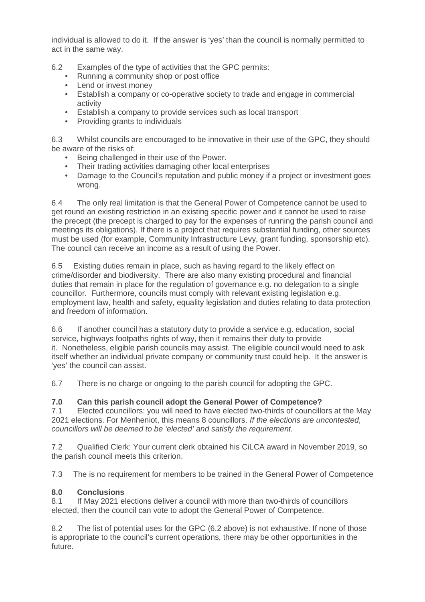individual is allowed to do it. If the answer is 'yes' than the council is normally permitted to act in the same way.

- 6.2 Examples of the type of activities that the GPC permits:
	- Running a community shop or post office
	- Lend or invest money
	- Establish a company or co-operative society to trade and engage in commercial activity
	- Establish a company to provide services such as local transport
	- Providing grants to individuals

6.3 Whilst councils are encouraged to be innovative in their use of the GPC, they should be aware of the risks of:

- Being challenged in their use of the Power.
- Their trading activities damaging other local enterprises
- Damage to the Council's reputation and public money if a project or investment goes wrong.

6.4 The only real limitation is that the General Power of Competence cannot be used to get round an existing restriction in an existing specific power and it cannot be used to raise the precept (the precept is charged to pay for the expenses of running the parish council and meetings its obligations). If there is a project that requires substantial funding, other sources must be used (for example, Community Infrastructure Levy, grant funding, sponsorship etc). The council can receive an income as a result of using the Power.

6.5 Existing duties remain in place, such as having regard to the likely effect on crime/disorder and biodiversity. There are also many existing procedural and financial duties that remain in place for the regulation of governance e.g. no delegation to a single councillor. Furthermore, councils must comply with relevant existing legislation e.g. employment law, health and safety, equality legislation and duties relating to data protection and freedom of information.

6.6 If another council has a statutory duty to provide a service e.g. education, social service, highways footpaths rights of way, then it remains their duty to provide it. Nonetheless, eligible parish councils may assist. The eligible council would need to ask itself whether an individual private company or community trust could help. It the answer is 'yes' the council can assist.

6.7 There is no charge or ongoing to the parish council for adopting the GPC.

### **7.0 Can this parish council adopt the General Power of Competence?**

7.1 Elected councillors: you will need to have elected two-thirds of councillors at the May 2021 elections. For Menheniot, this means 8 councillors. If the elections are uncontested, councillors will be deemed to be 'elected' and satisfy the requirement.

7.2 Qualified Clerk: Your current clerk obtained his CiLCA award in November 2019, so the parish council meets this criterion.

7.3 The is no requirement for members to be trained in the General Power of Competence

### **8.0 Conclusions**

8.1 If May 2021 elections deliver a council with more than two-thirds of councillors elected, then the council can vote to adopt the General Power of Competence.

8.2 The list of potential uses for the GPC (6.2 above) is not exhaustive. If none of those is appropriate to the council's current operations, there may be other opportunities in the future.